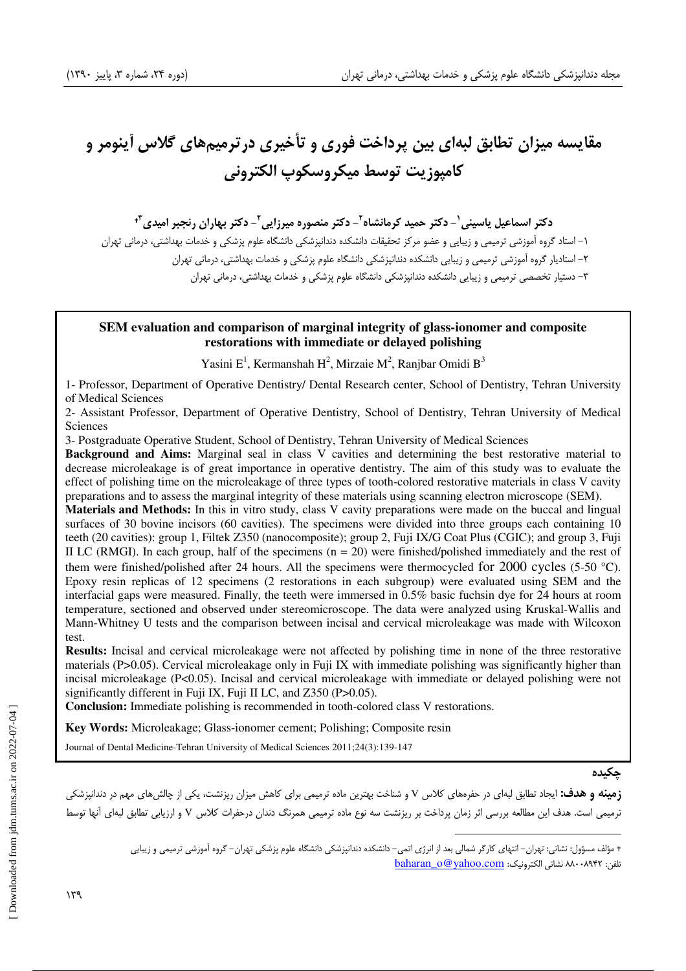# مقايسه ميزان تطابق لبهاي بين پرداخت فوري و تأخيري در ترميمهاي گلاس آينومر و كامپوزيت توسط ميكروسكوپ الكتروني

دكتر اسماعيل ياسيني`- دكتر حميد كرمانشاه`- دكتر منصوره ميرزايي`- دكتر بهاران رنجبر اميدي<sup>۳</sup>

 1- استاد گروه آموزشي ترميمي و زيبايي و عضو مركز تحقيقات دانشكده دندانپزشكي دانشگاه علوم پزشكي و خدمات بهداشتي، درماني تهران 2- استاديار گروه آموزشي ترميمي و زيبايي دانشكده دندانپزشكي دانشگاه علوم پزشكي و خدمات بهداشتي، درماني تهران 3- دستيار تخصصي ترميمي و زيبايي دانشكده دندانپزشكي دانشگاه علوم پزشكي و خدمات بهداشتي، درماني تهران

#### **SEM evaluation and comparison of marginal integrity of glass-ionomer and composite restorations with immediate or delayed polishing**

Yasini E<sup>1</sup>, Kermanshah H<sup>2</sup>, Mirzaie M<sup>2</sup>, Ranjbar Omidi B<sup>3</sup>

1- Professor, Department of Operative Dentistry/ Dental Research center, School of Dentistry, Tehran University of Medical Sciences

2- Assistant Professor, Department of Operative Dentistry, School of Dentistry, Tehran University of Medical Sciences

3- Postgraduate Operative Student, School of Dentistry, Tehran University of Medical Sciences

**Background and Aims:** Marginal seal in class V cavities and determining the best restorative material to decrease microleakage is of great importance in operative dentistry. The aim of this study was to evaluate the effect of polishing time on the microleakage of three types of tooth-colored restorative materials in class V cavity preparations and to assess the marginal integrity of these materials using scanning electron microscope (SEM).

**Materials and Methods:** In this in vitro study, class V cavity preparations were made on the buccal and lingual surfaces of 30 bovine incisors (60 cavities). The specimens were divided into three groups each containing 10 teeth (20 cavities): group 1, Filtek Z350 (nanocomposite); group 2, Fuji IX/G Coat Plus (CGIC); and group 3, Fuji II LC (RMGI). In each group, half of the specimens  $(n = 20)$  were finished/polished immediately and the rest of them were finished/polished after 24 hours. All the specimens were thermocycled for 2000 cycles (5-50 °C). Epoxy resin replicas of 12 specimens (2 restorations in each subgroup) were evaluated using SEM and the interfacial gaps were measured. Finally, the teeth were immersed in 0.5% basic fuchsin dye for 24 hours at room temperature, sectioned and observed under stereomicroscope. The data were analyzed using Kruskal-Wallis and Mann-Whitney U tests and the comparison between incisal and cervical microleakage was made with Wilcoxon test.

**Results:** Incisal and cervical microleakage were not affected by polishing time in none of the three restorative materials (P>0.05). Cervical microleakage only in Fuji IX with immediate polishing was significantly higher than incisal microleakage (P<0.05). Incisal and cervical microleakage with immediate or delayed polishing were not significantly different in Fuji IX, Fuji II LC, and Z350 (P>0.05).

**Conclusion:** Immediate polishing is recommended in tooth-colored class V restorations.

**Key Words:** Microleakage; Glass-ionomer cement; Polishing; Composite resin

Journal of Dental Medicine-Tehran University of Medical Sciences 2011;24(3):139-147

#### چكيده

**زمينه و هدف:** ايجاد تطابق لبهاي در حفرههاي كلاس V و شناخت بهترين ماده ترميمي براي كاهش ميزان ريزنشت، يكي از چالشهاي مهم در دندانپزشكي ترميمي است. هدف اين مطالعه بررسي اثر زمان پرداخت بر ريزنشت سه نوع ماده ترميمي همرنگ دندان درحفرات كلاس V و ارزيابي تطابق لبهاي آنها توسط

 $\overline{a}$ 

مؤلف مسؤول: نشاني: تهران - انتهاي كارگر شمالي بعد از انرژي اتمي - دانشكده دندانپزشكي دانشگاه علوم پزشكي تهران - گروه آموزشي ترميمي و زيبايي baharan\_o@yahoo.com :الكترونيك نشاني 88008942 :تلفن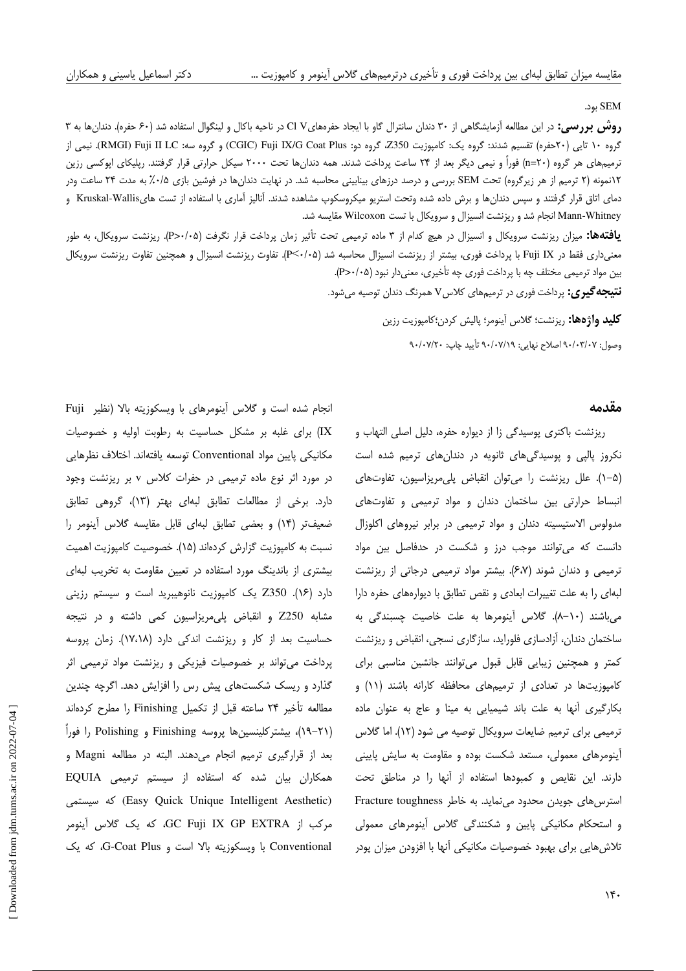#### SEM .بود

روش بررسي: در اين مطالعه آزمايشگاهي از ٣٠ دندان سانترال گاو با ايجاد حفرههايCl V در ناحيه باكال و لينگوال استفاده شد ( ۶۰ حفره). دندانها به ٣ گروه ۱۰ تايي (۲۰حفره) تقسيم شدند: گروه يک: کامپوزيت Z350 گروه دو: CGIC) Fuji IX/G Coat Plus) و گروه سه: RMGI) Fuji II LC). نيمي از ترميمهاي هر گروه (n=۲۰) فوراً و نيمي ديگر بعد از ۲۴ ساعت پرداخت شدند. همه دندانها تحت ۲۰۰۰ سيكل حرارتي قرار گرفتند. رپليكاي اپوكسي رزين 12نمونه 2( ترميم از هر زيرگروه ) تحت SEM بررسي و درصد درزهاي بينابيني محاسبه شد . در نهايت ها دندان در فوشين بازي 5/0% به مدت 24 ساعت ودر دماي اتاق قرار گرفتند و سپس دندانها و برش داده شده وتحت استريو ميكروسكوپ مشاهده شدند. آناليز آماري با استفاده از تست هايKruskal-Wallis و Whitney-Mann انجام شد و ريزنشت انسيزال و سرويكال با تست Wilcoxon مقايسه شد .

:ها يافته ميزان ريزنشت سرويكال و انسيزال در هيچ كدام از 3 ماده ترميمي تحت تأثير زمان پرداخت قرار نگرفت ( 05/0 <P . ( ريزنشت سرويكال، به طور معنيداري فقط در Fuji IX با پرداخت فوري، بيشتر از ريزنشت انسيزال محاسبه شد (P<٠/٠۵). تفاوت ريزنشت انسيزال و همچنين تفاوت ريزنشت سرويكال بين مواد ترميمي مختلف چه با پرداخت فوري چه تأخيري، دار معني نبود ( 05/0 <P .(

**نتيجهگيري:** پرداخت فوري در ترميمهاي كلاسV همرنگ دندان توصيه ميشود.

**كليد واژهها:** ريزنشت؛ گلاس آينومر؛ پاليش كردن؛كامپوزيت رزين

وصول: ٩٠/٠٣/٠٧ اصلاح نهايي: ٩٠/٠٧/١٩ تأييد چاپ: ٩٠/٠٧/٢٠

#### مقدمه

ريزنشت باكتري پوسيدگي زا از ديواره حفره، دليل اصلي التهاب و نكروز پالپي و پوسيدگي هاي ثانويه در دندان هاي ترميم شده است . )-1 5( علل ريزنشت را ميتوان انقباض پليمريزاسيون، تفاوتهاي انبساط حرارتي بين ساختمان دندان و مواد ترميمي و تفاوتهاي مدولوس الاستيسيته دندان و مواد ترميمي در برابر نيروهاي اكلوزال دانست كه ميتوانند موجب درز و شكست در حدفاصل بين مواد ترميمي و دندان شوند (۶،۷). بيشتر مواد ترميمي درجاتي از ريزنشت لبهاى را به علت تغييرات ابعادي و نقص تطابق با ديوارههاي حفره دارا ميباشند ( 10 .)-8 گلاس آينومرها به علت خاصيت چسبندگي به ساختمان دندان، آزادسازي فلورايد، سازگاري نسجي، انقباض و ريزنشت كمتر و همچنين زيبايي قابل قبول ميتوانند جانشين مناسبي براي كامپوزيتها در تعدادي از ترميمهاى محافظه كارانه باشند (١١) و بكارگيري آنها به علت باند شيميايي به مينا و عاج به عنوان ماده ترميمي براي ترميم ضايعات سرويكال توصيه مي شود ( 12 .) اما گلاس آينومرهاي معمولي، مستعد شكست بوده و مقاومت به سايش پاييني دارند. اين نقايص و كمبودها استفاده از آنها را در مناطق تحت استرسهاي جويدن محدود مينمايد . به خاطر toughness Fracture و استحكام مكانيكي پايين و شكنندگي گلاس آينومرهاي معمولي تلاشهايي براي بهبود خصوصيات مكانيكي آنها با افزودن ميزان پودر

انجام شده است و گلاس آينومرهاي با ويسكوزيته بالا ( نظير Fuji IX ( براي غلبه بر مشكل حساسيت به رطوبت اوليه و خصوصيات مكانيكي پايين مواد Conventional توسعه يافته اند. اختلاف نظرهايي در مورد اثر نوع ماده ترميمي در حفرات كلاس v ب ر ريزنشت وجود دارد. برخي از مطالعات تطابق لبهاي بهتر (١٣)، گروهي تطابق ضعيف تر (١۴) و بعضي تطابق لبه اي قابل مقايسه گلاس آينومر را نسبت به كامپوزيت گزارش كردهاند (۱۵). خصوصيت كامپوزيت اهميت بيشتري از باندينگ مورد استفاده در تعيين مقاومت به تخريب لبهاي دارد (۱۶). Z350 يك كامپوزيت نانوهيبريد است و سيستم رزيني مشابه 250Z و انقباض پليمريزاسيون كمي داشته و در نتيجه حساسيت بعد از كار و ريزنشت اندكي دارد (١٧،١٨). زمان پروسه پرداخت ميتواند بر خصوصيات فيزيكي و ريزنشت مواد ترميمي اثر گذارد و ريسك شكستهاي پيش رس را افزايش دهد . اگرچه چندين مطالعه تأخير ٢۴ ساعته قبل از تكميل Finishing را مطرح كردهاند ( ، )-19 21 بيشتركلينسينها پروسه Finishing و Polishing را فوراً بعد از قرارگيري ترميم انجام ميدهند . البته در مطالعه Magni و همكاران بيان شده كه استفاده از تسيس م ترميمي EQUIA سيستمي كه) Easy Quick Unique Intelligent Aesthetic) مركب از EXTRA GP IX Fuji GC، كه يك گلاس آينومر Conventional با ويسكوزيته بالا است و Plus Coat-G، كه يك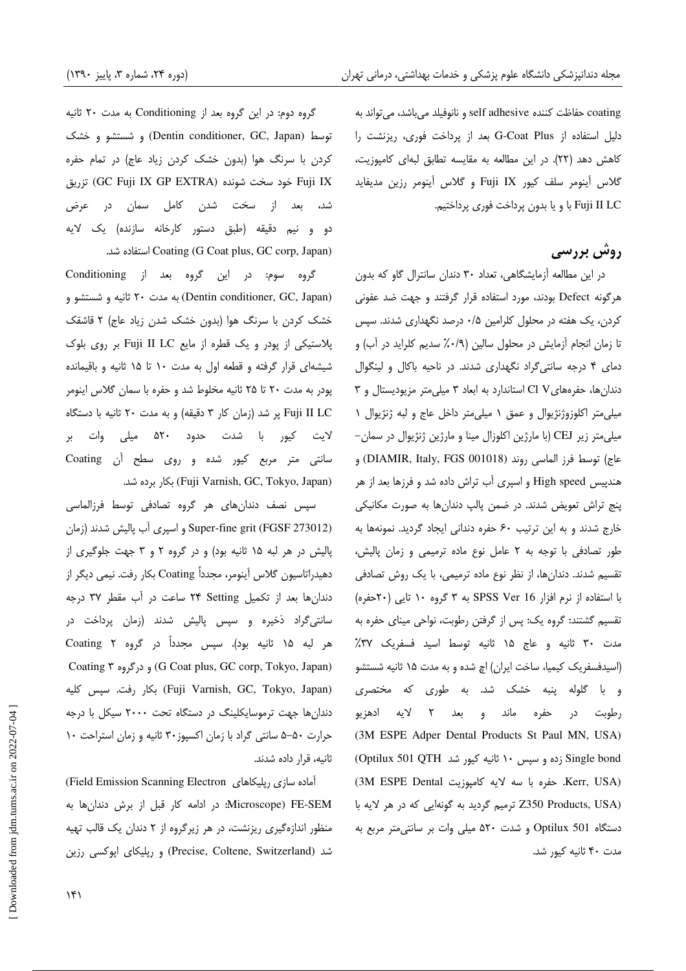coating حفاظت كننده adhesive self و نانوفيلد ميباشد، ميتواند به دليل استفاده از G-Coat Plus بعد از پرداخت فوري، ريزنشت را كاهش دهد (٢٢). در اين مطالعه به مقايسه تطابق لبهاي كامپوزيت، گلاس آينومر سلف كيور IX Fuji و گلاس آينومر رزين مديفايد Fuji II LC با و يا بدون پرداخت فوري پرداختيم.

## روش بررسي

در اين مطالعه آزمايشگاهي، تعداد 30 دندان سانترال گاو كه بدون هرگونه Defect بودند، مورد استفاده قرار گرفتند و جهت ضد عفونی كردن، يك هفته در محلول كلرامين 5/0 درصد نگهداري شدند. سپس تا زمان انجام آزمايش در محلول سالين (٠/٩٪ سديم كلرايد در آب) و دماي 4 درجه سانتيگراد نگهداري شدند. در ناحيه باكال و لينگوال دندان ها، حفره هاي Cl V استاندارد به ابعاد ٣ ميلي متر مزيوديستال و ٣ ميليمتر اكلوزوژنژيوال و عمق 1 ميليمتر داخل عاج و لبه ژنژيوال 1 ميلي متر زير CEJ ) با مارژين اكلوزال مينا و مارژين ژنژيوال در سمان- عاج) توسط فرز الماسي روند (DIAMIR, Italy, FGS 001018) و هندپيس High speed و اسپري آب تراش داده شد و فرزها بعد از هر پنج تراش تعويض شدند. در ضمن پالپ دندانها به صورت مكانيكي خارج شدند و به اين ترتيب 60 حفره دنداني ايجاد گرديد . نمونهها به طور تصادفي با توجه به 2 عامل نوع ماده ترميمي و زمان پاليش، تقسيم شدند. دندانها، از نظر نوع ماده ترميمي، با يک روش تصادفي با استفاده از نرم افزار 16 Ver SPSS به 3 گروه 10 تايي (20حفره) تقسيم گشتند: گروه يک: پس از گرفتن رطوبت، نواحي ميناي حفره به مدت 30 ثانيه و عاج 15 ثانيه توسط اسيد فسفريك 37% (اسيدفسفريك كيميا، ساخت ايران) اچ شده و به مدت 15 ثانيه شستشو و با گلوله پنبه خشك شد. به طوري كه مختصري رطوبت در حفره ماند و بعد 2 لايه ادهزيو (3M ESPE Adper Dental Products St Paul MN, USA) bond Single زده و سپس 10 ثانيه كيور شد QTH 501 Optilux( (USA ,Kerr جفره با سه لايه كامپوزيت 3M ESPE Dental) (Z350 Products, USA ترميم گرديد به گونهايي كه در هر لايه با دستگاه 501 Optilux و شدت 520 ميلي وات بر سا نتيمتر مربع به مدت ۴۰ ثانيه كيور شد.

گروه دوم: در اين گروه بعد از Conditioning به مدت 20 ثانيه توسط (Dentin conditioner, GC, Japan) و شستشو و خشك كردن با سرنگ هوا (بدون خشك كردن زياد عاج) در تمام حفره تزريق) GC Fuji IX GP EXTRA) شونده سخت خود Fuji IX شد، بعد از سخت شدن كامل سمان در عرض دو و نيم دقيقه ( طبق دستور كارخانه سازنده ) يك لايه شد. استفاده Coating (G Coat plus, GC corp, Japan)

گروه سوم: در اين گروه بعد از Conditioning (Dentin conditioner, GC, Japan) به مدت ٢٠ ثانيه و شستشو و خشك كردن با سرنگ هوا (بدون خشك شدن زياد عاج) ٢ قاشقك پلاستيكي از پودر و يك قطره از مايع LC II Fuji بر روي بلوك شيشه اي قرار گرفته و قطعه اول به مدت ١٠ تا ١۵ ثانيه و باقيمانده پودر به مدت تا 20 25 ثانيه مخلوط شد و حفره با سمان گلاس اينومر LC II Fuji پر ( شد زمان كار 3 دقيقه و) به م دت 20 ثانيه با دستگاه لايت كيور با شدت حدود 520 ميلي وات بر سانتي متر مربع كيور شده و روي سطح آن Coating . شد ه دبر بكار) Fuji Varnish, GC, Tokyo, Japan)

سپس نصف دندان هاى هر گروه تصادفى توسط فرزالماسى (273012 FGSF (grit fine-Super و اسپري آب پاليش شدند ( زما ن پاليش در هر لبه ١۵ ثانيه بود) و در گروه ٢ و ٣ جهت جلوگيري از دهيدراتاسيون گلاس آينومر، مجدداً Coating بكار رفت. نيمي ديگر از ها دندان بعد از تكميل Setting 24 ساعت در آب مقطر د 37 رجه سانت*ي گ*راد ذخيره و سپس پاليش شدند (زمان پرداخت در هر لبه 15 ثانيه بود). سپس مجدداً در گروه 2 Coating Coating 3 درگروه و) G Coat plus, GC corp, Tokyo, Japan) (Fuji Varnish, GC, Tokyo, Japan) بكار رفت. سپس كليه دندان ها جهت ترموسايكلينگ در دستگاه تحت ٢٠٠٠ سيكل با درجه حرارت 50-5 سانتي گراد با زمان اكسپوز 30 ثانيه و زمان استراحت 10 ثانيه، قرار داده شدند .

(Field Emission Scanning Electron رپليكاهاي سازي آماده Microscope) FE-SEM: در ادامه كار قبل از برش دندانها به منظور اندازهگيري ريزنشت در، هر زيرگروه از 2 دندان يك قالب تهيه دش (Switzerland ,Coltene ,Precise (و رپليكاي اپوكسي رزين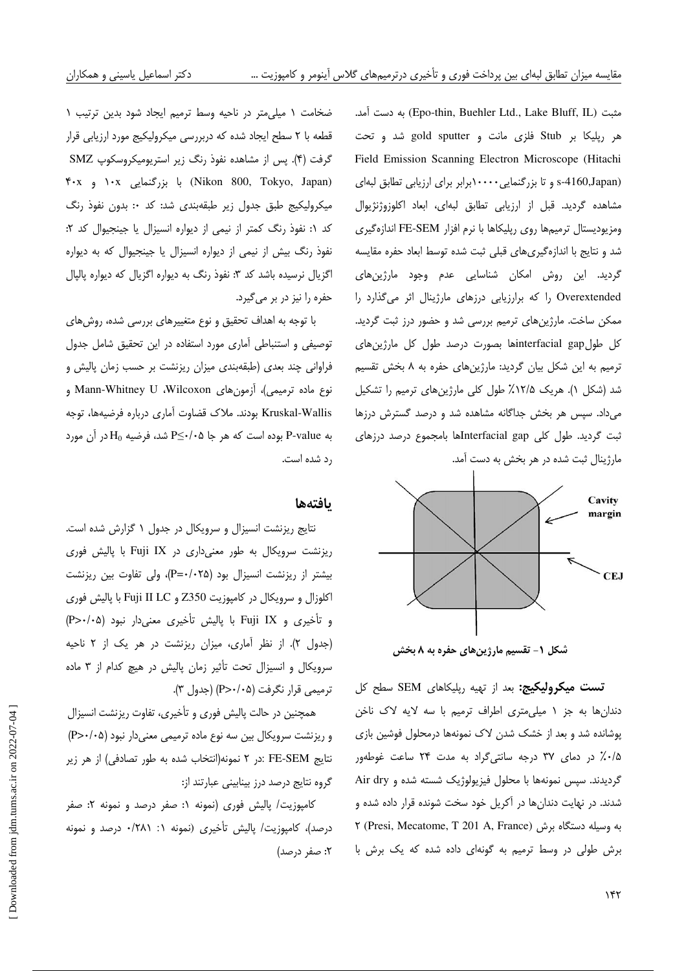آمد. دست به) Epo-thin, Buehler Ltd., Lake Bluff, IL) مثبت هر رپليكا بر Stub فلزي مانت و sputter gold و شد تحت Field Emission Scanning Electron Microscope (Hitachi (s-4160,Japan و تا بزرگنمايي١٠٠٠٠برابر براي ارزيابي تطابق لبهاي مشاهده گرديد. قبل از ارزيابي تطابق لبهاي، ابعاد اكلوزوژنژيوال ومزيوديستال ترميمها روي رپليكاها با نرم افزار FE-SEM اندازهگيري شد و نتايج با اندازهگيري هاي قبلي ثبت شده توسط ابعاد حفره مقايسه گرديد . اين روش امكان شناسايي عدم وجود مارژينهاي Overextended را كه برارزيابي درزهاي مارژينال اثر ميگذارد ار ممكن ساخت. مارژينهاي ترميم بررسي شد و حضور درز ثبت گرديد. كل طولgap interfacial ها بصورت درصد طول كل مارژينهاي ترميم به اين شكل بيان گرديد : مارژينهاي حفره به 8 بخش تقسيم شد (شكل ١). هريك ١٢/۵٪ طول كلي مارژينهاي ترميم را تشكيل میداد. سپس هر بخش جداگانه مشاهده شد و درصد گسترش درزها ثبت گرديد . طول كلي gap Interfacial ها بامجموع درصد درزهاي مارژينال ثبت شده در هر بخش به دست آمد .



شكل 1 - تقسيم مارژينهاي حفره به 8 بخش

تست ميكروليكيج: بعد از تهيه رپليكاهاي SEM سطح كل دندان ها به جز ١ ميلي مترى اطراف ترميم با سه لايه لاك ناخن پوشانده شد و بعد از خشك شدن لاك نمونهها درمحلول فوشين بازي ۰/۵٪ در دمای ۳۷ درجه سانتی گراد به مدت ۲۴ ساعت غوطهور گرديدند. سپس نمونهها با محلول فيزيولوژيک شسته شده و Air dry شدند. در نهايت دندان ها در آكريل خود سخت شونده قرار داده شده و 2 (Presi, Mecatome, T 201 A, France) برش دستگاه وسيله به برش طولي در وسط ترميم به گونهاي داده شده كه يك برش با

ضخامت ١ ميلي متر در ناحيه وسط ترميم ايجاد شود بدين ترتيب ١ قطعه با 2 سطح ايجاد شده كه دربررسي ميكروليكيج مورد ارزيابي قرار گرفت (۴). پس از مشاهده نفوذ رنگ زير استريوميكروسكوپ SMZ 40 x و 10x بزرگنمايي با) Nikon 800, Tokyo, Japan) ميكروليكيج طبق جدول زير طبقهبندي شد: كد : 0 بدون نفوذ رنگ كد ١: نفوذ رنگ كمتر از نيمى از ديواره انسيزال يا جينجيوال كد ٢: نفوذ رنگ بيش از نيمي از ديواره انسيزال يا جينجيوال كه به ديواره اگزيال نرسيده باشد كد ٣: نفوذ رنگ به ديواره اگزيال كه ديواره پالپال حفره را نيز در بر مي گيرد.

با توجه به اهداف تحقيق و نوع متغييرهاي بررسي شده، روشهاي توصيفي و استنباطي آماري مورد استفاده در اين تحقيق شامل جدول فراواني چند بعدي ( طبقهبندي ميزان ريزنشت بر حسب زمان پاليش و نوع ماده ترميمي ، ) آزمونهاي Wilcoxon، U Whitney-Mann و Kruskal-Wallis بودند. ملاك قضاوت آماري درباره فرضيهها، توجه به P-value بوده است كه هر جا P</0 \$P شد، فرضيه H<sub>0</sub> در آن مورد رد شده است.

#### ها يافته

نتايج ريزنشت انسيزال و سرويكال در جدول 1 گزارش شده است . ريزنشت سرويكال به طور معنى دارى در Fuji IX با پاليش فورى بيشتر از ريزنشت انسيزال بود ( 025 /0 =P ، ( ولي تفاوت بين ريزنشت اكلوزال و سرويكال در كامپوزيت 350Z و LC II Fuji با پاليش فوري و تأخيري و Fuji IX با پاليش تأخيري معنى دار نبود (P>٠/٠۵) (جدول ٢). از نظر آماري، ميزان ريزنشت در هر يک از ٢ ناحيه سرويكال و انسيزال تحت تأثير زمان پاليش در هيچ كدام از 3 ماده ترميمي قرار نگرفت (P>٠/٠۵) (جدول ٣).

همچنين در حالت پاليش فوري و تأخيري، تفاوت ريزنشت انسيزال و ريزنشت سرويكال بين سه نوع ماده ترميمي معنى دار نبود (P>٠/٠۵) نتايج SEM-FE : 2در نمونه(انتخاب شده به طور تصادفي ) از هر زير گروه نتايج درصد درز بينابيني عبارتند از :

كامپوزيت / پاليش فوري ( نمونه 1: صفر درصد و نمونه 2: صفر درصد)، كامپوزيت/ پاليش تأخيري (نمونه ١: ٢٨١/٠ درصد و نمونه 2: صفر درصد)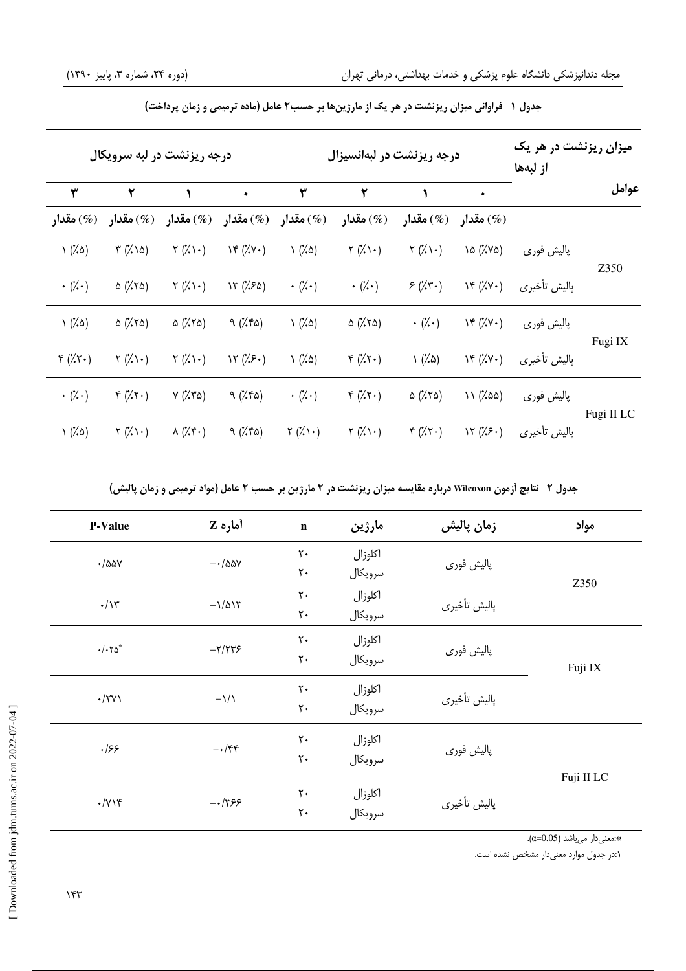| درجه ریزنشت در لبه سرویکال |                                 |                                  |                                               | درجه ریزنشت در لبهانسیزال  |                          |                            |                                        | میزان ریزنشت در هر یک<br>از لبەھا |            |
|----------------------------|---------------------------------|----------------------------------|-----------------------------------------------|----------------------------|--------------------------|----------------------------|----------------------------------------|-----------------------------------|------------|
| ٣                          | ۲                               | ١                                | $\blacklozenge$                               | ٣                          | ۲                        | ١                          | ٠                                      |                                   | عوامل      |
| (%) مقدار                  | (%) مقدار                       | مقدار (%)                        | مقدار (%) مقدار (%) مقدار $\left( \% \right)$ |                            | (%) مقدار                | (%) مقدار                  | (%) مقدار                              |                                   |            |
| $\left(\frac{7}{9}\right)$ | $\forall$ (%) $\delta$ )        | $\mathbf{Y}(\mathbf{X})\cdot$    | YF(XY)                                        | $\left(\frac{7}{9}\right)$ | $\gamma$ (%) $\cdot$ )   | $\gamma$ (%) $\cdot$ )     | $\lambda \Delta$ (% $\lambda \Delta$ ) | پالیش فوری                        | Z350       |
| $\cdot$ (% $\cdot$ )       | $\Delta$ (% $\lambda$ )         | $\gamma$ (%) $\cdot$ )           | Y''(150)                                      | $\cdot$ (% $\cdot$ )       | $\cdot$ (% $\cdot$ )     | $5(x^2 + y^2)$             | YF(XY)                                 | پاليش تأخيري                      |            |
| $\left(\frac{7}{9}\right)$ | $\Delta$ (% $\lambda$ 0)        | $\Delta$ (% $\lambda$ 0)         | 9(7.70)                                       | $\left(\frac{7}{9}\right)$ | $\Delta$ (% $\lambda$ 0) | $\cdot$ (% $\cdot$ )       | YF(XY)                                 | پالیش فوری                        | Fugi IX    |
| $f(\lambda)$               | $\mathcal{V}(\mathcal{U})\cdot$ | $\mathbf{r}(\mathbf{X})\cdot$    | 17(75)                                        | $\left(\frac{7}{9}\right)$ | $f(x,\tau)$              | $\left(\frac{7}{9}\right)$ | YF(XY)                                 | پاليش تأخيري                      |            |
| $\cdot$ (% $\cdot$ )       | $f(x,\tau)$                     | $Y(XY\Delta)$                    | 9(7.70)                                       | $\cdot$ (% $\cdot$ )       | $f(x,\tau)$              | $\Delta$ (% $\lambda$ 0)   | 11(7.00)                               | پالیش فوری                        | Fugi II LC |
| $\left(\frac{7}{9}\right)$ | $\Upsilon(\lambda)\cdot$        | $\lambda(\mathcal{K}^{\bullet})$ | 9(7.70)                                       | $\gamma(\lambda)$          | $\gamma$ (%) $\cdot$ )   | $f(x,\tau)$                | 17 (7.5)                               | پاليش تأخيري                      |            |

جدول 1 - فراواني ميزان ريزنشت در هر يك از مارژينها بر حسب 2 عامل ( ماده ترميمي و زمان پرداخت)

جدول 2 - نتايج آزمون **Wilcoxon** درباره مقايسه ميزان ريزنشت در 2 مارژين بر حسب 2 عامل ( مواد ترميمي و زمان پاليش)

| <b>P-Value</b>            | أماره Z                           | $\mathbf n$    | مارژين  | زمان پالیش   | مواد       |  |
|---------------------------|-----------------------------------|----------------|---------|--------------|------------|--|
| $\cdot$ /۵۵۷              | $-\cdot/\Delta\Delta V$           | $\mathsf{r}$ . | اكلوزال |              |            |  |
|                           |                                   | $\mathsf{r}$ . | سرويكال | پالیش فوری   | Z350       |  |
| $\cdot/\gamma$            | $-\frac{1}{\Delta}$               | $\mathsf{r}$ . | اكلوزال | پاليش تأخيري |            |  |
|                           |                                   | ٢٠             | سرويكال |              |            |  |
|                           |                                   | $\mathsf{r}$ . | اكلوزال | پالیش فوری   |            |  |
| $\cdot/\cdot\tau\Delta^*$ | $-\gamma/\gamma\gamma$            | $\mathbf{y}$ . | سرويكال |              | Fuji IX    |  |
|                           |                                   | $\mathbf{y}$ . | اكلوزال | پاليش تأخيري |            |  |
| $\cdot$ /٢٧١              | $-\frac{1}{\sqrt{2}}$             | $\mathsf{r}$ . | سرويكال |              |            |  |
|                           |                                   | $\mathsf{r}$ . | اكلوزال | پالیش فوري   |            |  |
| ۰۱۶۶                      | $-\cdot/\mathfrak{f}\mathfrak{f}$ | ٢٠             | سرويكال |              |            |  |
|                           |                                   |                |         | پاليش تأخيري | Fuji II LC |  |
| $\cdot$ / $\gamma$        | $-1799$                           | $\mathsf{r}$ . | اكلوزال |              |            |  |
|                           |                                   | $\mathsf{r}$ . | سرويكال |              |            |  |
|                           |                                   |                |         |              |            |  |

 $(\alpha=0.05)$  : دمعنى دار مىباشد (0.05= $\cdot$ 

1: در جدول موارد معنيدار مشخص نشده است .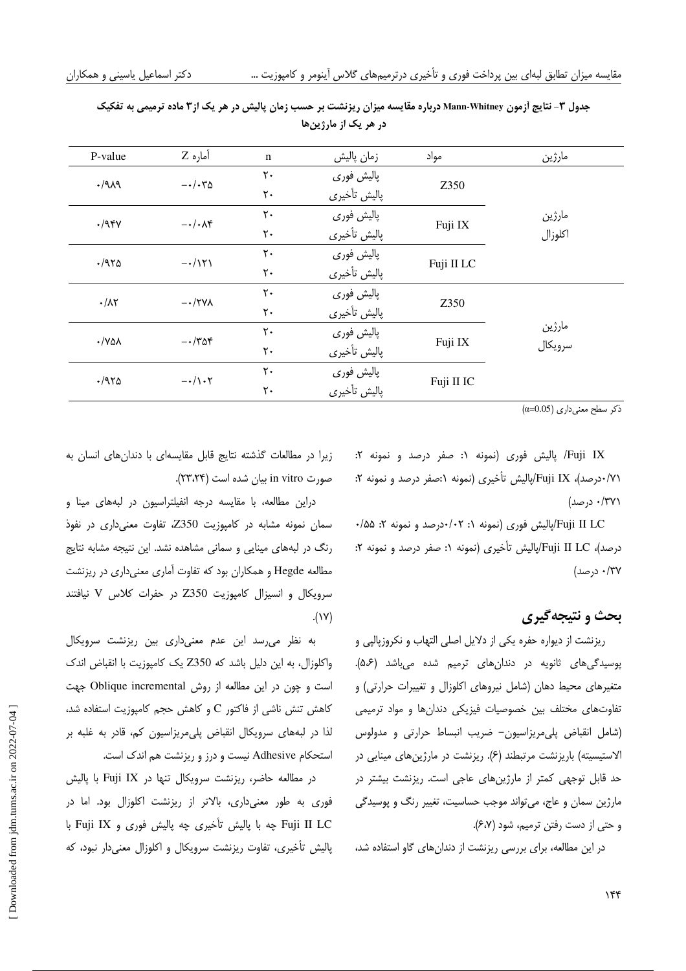| P-value                     | آماره Z                     | $\mathbf n$       | زمان پالیش   | مواد       | مارژين  |  |
|-----------------------------|-----------------------------|-------------------|--------------|------------|---------|--|
| .1919                       | $-\cdot/\cdot\tau$ $\Delta$ | $\mathsf{r}\cdot$ | پالیش فوری   | Z350       |         |  |
|                             |                             | $\mathsf{r}\cdot$ | پاليش تأخيري |            |         |  |
| $\cdot$ /94Y                | $-\cdot/\cdot\Lambda^2$     | ٢٠                | پالیش فوری   | Fuji IX    | مارژين  |  |
|                             |                             | $\mathsf{r}\cdot$ | پالیش تأخیری |            | اكلوزال |  |
| .7970                       | $-\cdot/151$                | $\mathsf{r}\cdot$ | پالیش فوری   |            |         |  |
|                             |                             | ٢٠                | پاليش تأخيري | Fuji II LC |         |  |
| $\cdot/\lambda\Upsilon$     | $-\cdot$ /۲۷۸               | $\mathsf{r}$ .    | پالیش فوری   |            |         |  |
|                             |                             | ٢٠                | پاليش تأخيري | Z350       |         |  |
| $\cdot$ / Y $\Delta\lambda$ | $-\cdot$ /۳۵۴               | ٢٠                | پالیش فوری   |            | مارژين  |  |
|                             |                             | $\mathsf{r}\cdot$ | پاليش تأخيري | Fuji IX    | سرويكال |  |
|                             | $-\cdot/\right. \cdot \tau$ | ٢٠                | پالیش فوری   |            |         |  |
| .7970                       |                             | ٢٠                | ياليش تأخيري | Fuji II IC |         |  |
|                             |                             |                   |              |            |         |  |

جدول 3 - نتايج آزمون **Whitney-Mann** درباره مقايسه ميزان ريزنشت بر حسب زمان پاليش در هر يك از 3 ماده ترميمي به تفكيك در هر يک از مارژين ها

 $(\alpha=0.05)$ ذكر سطح معنى دارى

IX Fuji / پاليش فوري (نمونه 1: صفر درصد و نمونه 2: ۰/۷۱درصد)، Fuji IX/پاليش تأخيري (نمونه ۱:صفر درصد و نمونه ۲: 371 /0 درصد)

LC II Fuji/پاليش فوري ( نمونه : 1 02/0 درصد و نمونه : 2 55/0 درصد)، Fuji II LC/پاليش تأخيري (نمونه ۱: صفر درصد و نمونه ۲: 37/0 درصد )

### بحث و نتيجهگيري

ريزنشت از ديواره حفره يكي از دلايل اصلي التهاب و نكروزپالپي و پوسيدگي هاي ثانويه در دندان هاي ترميم شده ميباشد (۵،۶). متغيرهاي محيط دهان (شامل نيروهاي اكلوزال و تغييرات حرارتي) و تفاوتهاي مختلف بين خصوصيات فيزيكي دندانها و مواد ترميمي (شامل انقباض پليمريزاسيون - ضريب انبساط حرارتي و مدولوس الاستيسيته) باريزنشت مرتبطند (۶). ريزنشت در مارژينهاي مينايي در حد قابل توجهي كمتر از مارژينهاي عاجي است . ريزنشت بيشتر در مارژين سمان و عاج، ميتواند موجب حساسيت، تغيير رنگ و پوسيدگي و حتى از دست رفتن ترميم، شود (۶،۷).

در اين مطالعه، براي بررسي ريزنشت از دندان هاي گاو استفاده شد،

زيرا در مطالعات گذشته نتايج قابل مقايسهای با دندان های انسان به صو رت vitro in بيان شده است ( 24،23 .)

دراين مطالعه، با مقايسه درجه انفيلتراسيون در لبههاي مينا و سمان نمونه مشابه در كامپوزيت Z350، تفاوت معنى دارى در نفوذ رنگ در لبههاي مينايي و سماني مشاهده نشد . اين نتيجه مشابه نتايج مطالعه Hegde و همكاران بود كه تفاوت آماري معنىداري در ريزنشت سرويكال و انسيزال كامپوزيت Z350 در حفرات كلاس V نيافتند  $(1)$ 

به نظر مىرسد اين عدم معنىدارى بين ريزنشت سرويكال واكلوزال به، اين دليل باشد كه 350Z يك كامپوزيت با انقباض اندك است و چون در اين مطالعه از روش Oblique incremental جهت كاهش تنش ناشي از فاكتور C و كاهش حجم كامپوزيت استفاده شد، لذا در لبههاي سرويكال انقباض پليمريزاسيون كم، قادر به غلبه بر استحكام Adhesive نيست و درز و ريزنشت هم اندك است .

در مطالعه حاضر، ريزنشت سرويكال تنها در IX Fuji با پاليش فوري به طور معني داري، بالاتر از ريزنشت اكلوزال بود. اما در LC II Fuji چه با پاليش تأخيري چه پاليش فوري و IX Fuji با پاليش تأخيري، تفاوت ريزنشت سرويكال و اكلوزال معنى دار نبود، كه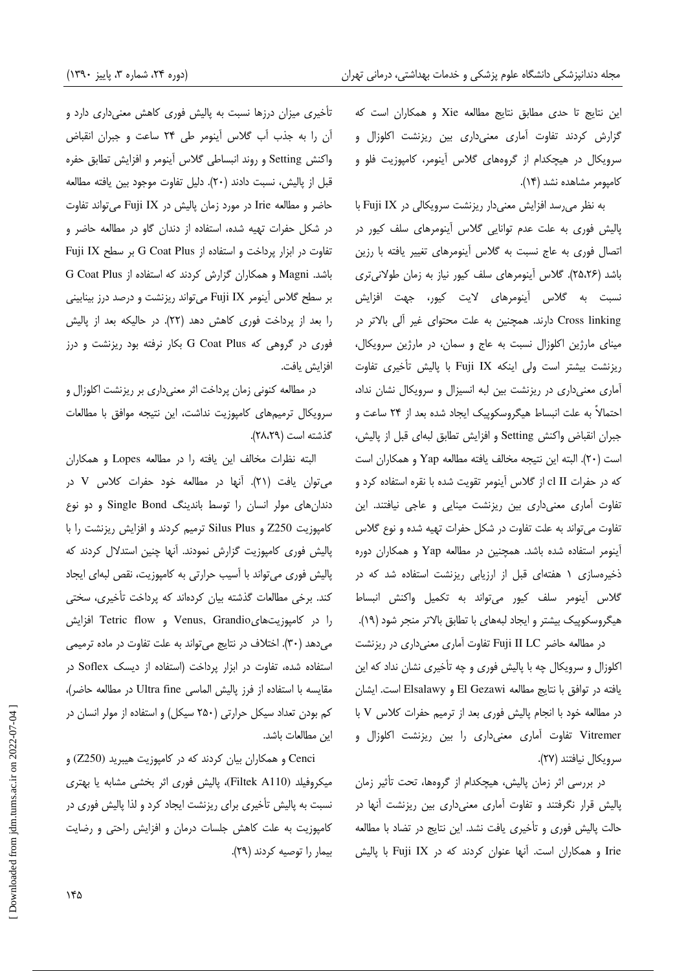اين نتايج تا حدي مطابق نتايج مطالعه Xie و همكاران است كه گزارش كردند تفاوت آماري معنى داري بين ريزنشت اكلوزال و سرويكال در هيچكدام از گروههاي گلاس آينومر، كامپوزيت فلو و كامپومر مشاهده نشد ( 14 .)

به نظر مي رسد افزايش معنى دار ريزنشت سرويكالي در Fuji IX با پاليش فوري به علت عدم توانايي گلاس آينومرهاي سلف كيور در اتصال فوري به عاج نسبت به گلاس آينومرهاي تغيير يافته با رزين باشد ( 26،25 . ) گلاس آينومرهاي سلف كيور نياز به زمان طولانيتري نسبت به گلاس آينومرهاي لايت كيور، جهت افزايش linking Cross دارند. همچنين به علت محتواي غير آلي بالاتر در ميناي مارژين اكلوزال نسبت به عاج و سمان ، در مارژين سرويكال، ريزنشت بيشتر است ولي اينكه Fuji IX با پاليش تأخيري تفاوت آماري معني داري در ريزنشت بين لبه انسيزال و سرويكال نشان نداد، احتمالاً به علت انبساط هيگروسكوپيك ايجاد شده بعد از 24 ساعت و جبران انقباض واكنش Setting و افزايش تطابق ا لبهي قبل از پاليش، است ( .)20 البته اين نتيجه مخالف يافته مطالعه Yap و همكاران است كه در حفرات II cl از گلاس آينومر تقويت شده با نقره استفاده كرد و تفاوت آماري معني داري بين ريزنشت مينايي و عاجي نيافتند. اين تفاوت ميتواند به علت تفاوت در شكل حفرات تهيه شده و نوع گلاس آينومر استفاده شده باشد. همچنين در مطالعه Yap و همكاران دوره ذخيرهسازي 1 هفتهاي قبل از ارزيابي ريزنشت استفاده شد كه در گلاس آينومر سلف كيور ميتواند به تكميل واكنش انبساط هيگروسكوپيك بيشتر و ايجاد لبههاي با تطابق بالاتر منجر شود ( 19 .)

در مطالعه حاضر Fuji II LC تفاوت آماري معنىداري در ريزنشت اكلوزال و سرويكال چه با پاليش فوري و چه تأخيري نشان نداد كه اين يافته در توافق با نتايج مطالعه Gezawi El و Elsalawy است . ايشان در مطالعه خود با انجام پاليش فور ي بعد از ترميم حفرات كلاس V با Vitremer تفاوت آماري معنى داري را بين ريزنشت اكلوزال و سرويكال نيافتند (٢٧).

در بررسي اثر زمان پاليش، هيچكدام از گروهها، تحت تأثير زمان پاليش قرار نگرفتند و تفاوت آماري معني داري بين ريزنشت آنها در حالت پاليش فوري و تأخيري يافت نشد . اين نتايج در تضاد با مطالعه Irie و همكاران است. آنها عنوان كردند كه در IX Fuji با پاليش

تأخيري ميزان درزها نسبت به پاليش فوري كاهش معنىداري دارد و آن را به جذب آب گلاس آينومر طي 24 ساعت و جبران انقباض واكنش Setting و روند انبساطي گلاس آينومر و افزايش تطابق حفره قبل از پاليش، نسبت دادند ( 20 .) دليل تفاوت موجود بين يافته مطالعه حاضر و مطالعه Irie در مورد زمان پاليش در IX Fuji ميتواند تفاوت در شكل حفرات تهيه شده، استفاده از دندان گاو در مطالعه حاضر و تفاوت در ابزار پرداخت و استفاده از Plus Coat G بر سطح IX Fuji باشد . Magni و همكاران گزارش كرد ند كه استفاده از Plus Coat G بر سطح گلاس آينومر IX Fuji ميتواند ريزنشت و درصد درز بينابيني را بعد از پرداخت فوري كاهش دهد ( 22). در حاليكه بعد از پاليش فوري در گروهي كه Plus Coat G بكار نرفته بود ريزنشت و درز افزايش يافت .

در مطالعه كنوني زمان پرداخت اثر معنىدارى بر ريزنشت اكلوزال و سرويكال ترميمهاى كامپوزيت نداشت، اين نتيجه موافق با مطالعات گذشته است ( 29،28 .)

البته نظرات مخالف اين يافته را در مطالعه Lopes و همكاران ميتوان يافت ( . )21 آنها در مطالعه خود حفرات كلاس V در دندان های مولر انسان را توسط باندينگ Single Bond و دو نوع كامپوزيت 250Z و Plus Silus ت رميم كردند و افزايش ريزنشت را با پاليش فوري كامپوزيت گزارش نمودند. آنها چنين استدلال كردند كه پاليش فوري مي تواند با آسيب حرارتي به كامپوزيت، نقص لبهاي ايجاد كند. برخي مطالعات گذشته بيان كردهاند كه پرداخت تأخيري، سختي را در كامپوزيتهايGrandio ,Venus و flow Tetric افزايش مي دهد (٣٠). اختلاف در نتايج مي تواند به علت تفاوت در ماده ترميمي استفاده شده، تفاوت در ابزار پرداخت ( استفاده از ديسك Soflex در مقايسه با استفاده از فرز پاليش الماسي Ultra fine در مطالعه حاضر)، كم بودن تعداد سيكل حرارتي ( 250 سيكل ) و استفاده از مولر انسان در اين مطالعات باشد .

Cenci و همكاران بيان كردند كه در كامپوزيت هيبريد (250Z (و ميكروفيلد (110A Filtek (، پاليش فوري اثر بخشي مشابه يا بهتري نسبت به پاليش تأخيري براي ريزنشت ايجاد كرد و لذا پاليش فوري در كامپوزيت به علت كاهش جلسات درمان و افزايش راحتي و رضايت بيمار را توصيه كردند (٢٩).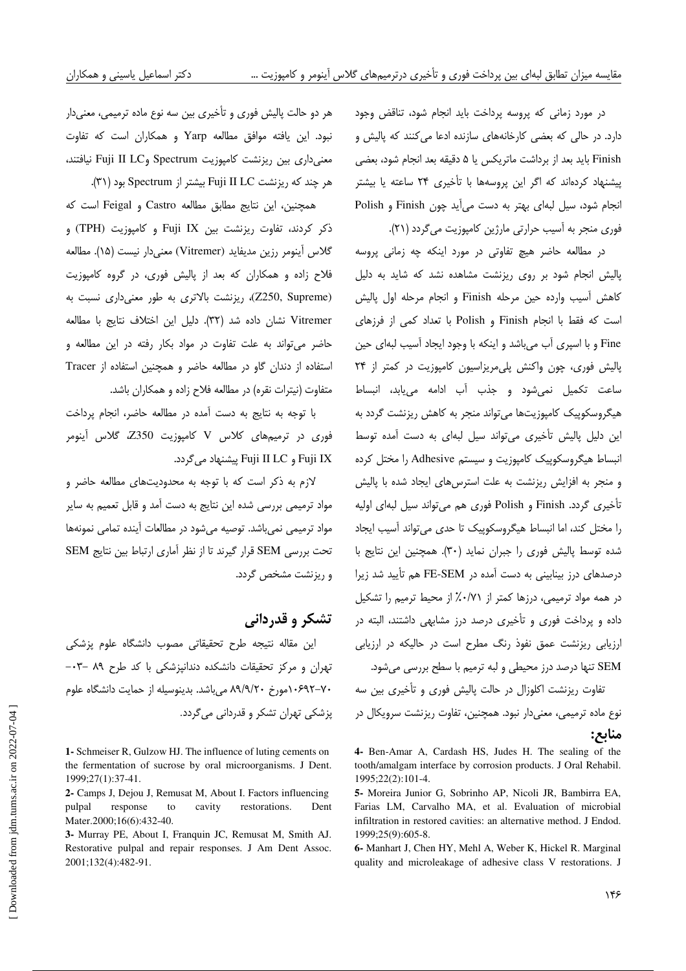در مورد زماني كه پروسه پرداخت بايد انجام شود، تناقض وجود دارد. در حالي كه بعضي كارخانههاي سازنده ادعا ميكنند كه پاليش و Finish بايد بعد از برداشت ماتريكس يا 5 دقيقه بعد انجام شود، بعضي پيشنهاد كردهاند كه اگر اين پروسهها با تأخيري 24 ساعته يا بيشتر انجام شود، سيل ا لبهي بهتر به دست ميآيد چون Finish و Polish فوري منجر به آسيب حرارتي مارژين كامپوزيت مي گردد (٢١).

در مطالعه حاضر هيچ تفاوتي در مورد اينكه چه زماني پروسه پاليش انجام شود بر روي ريزنشت مشاهده نشد كه شايد به دليل كاهش آسيب وارده حين مرحله Finish و انجام مرحله اول پاليش است كه فقط با انجام Finish و Polish با تعداد كمي از فرزهاي Fine و با اسپري آب ميباشد و اينكه با وجود ايجاد آسيب لبهاي حين پاليش فوري، چون واكنش پليمريزاسيون كامپوزيت در كمتر از 24 ساعت تكميل نميشود و جذب آب ادامه مييابد، انبساط هيگروسكوپيك كامپوزيتها ميتواند منجر به كاهش ريزنشت گردد به اين دليل پاليش تأخيري مي تواند سيل لبهاي به دست آمده توسط انبساط هيگروسكوپيك كامپوزيت و سيستم Adhesive را مختل كرده و منجر به افزايش ريزنشت به علت استرسهاي ايجاد شده با پاليش تأخيري گردد. Finish و Polish فوري هم ميتواند سيل لبهاي اوليه را مختل كند ، اما انبساط هيگروسكوپيك تا حدي ميتواند آسيب ايجاد شده توسط پاليش فوري را جبران نمايد (٣٠). همچنين اين نتايج با درصدهاي درز بينابيني به دست آمده در SEM-FE هم تأييد شد زيرا در همه مواد ترميمي، درزها كمتر از از 71/0% محيط ترميم را تشكيل داده و پرداخت فوري و تأخيري درصد درز مشابهي داشتند، البته در ارزيابي ريزنشت عمق نفوذ رنگ مطرح است در حاليكه در ارزيابي SEM تنها درصد درز محيطي و لبه ترميم با سطح بررسي مي شود. تفاوت ريزنشت اكلوزال در حالت پاليش فوري و تأخيري بين سه نوع ماده ترميمي، معنى دار نبود. همچنين، تفاوت ريزنشت سرويكال در منابع:

هر دو حالت پاليش فوري و تأخيري بين سه نوع ماده ترميمي، معني دار نبود. اين يافته موافق مطالعه Yarp و همكاران است كه تفاوت معنى داري بين ريزنشت كامپوزيت Spectrum و Fuji II LC نيافتند، هر چند كه ريزنشت LC II Fuji بيشتر از Spectrum ) بود 31 .)

همچنين، اين نتايج مطابق مطالعه Castro و Feigal است كه ذكر كردند، تفاوت ريزنشت بين Fuji IX و كامپوزيت (TPH) و گلاس آينومر رزين مديفايد (Vitremer) معني دار نيست (١۵). مطالعه فلاح زاده و همكاران كه بعد از پاليش فوري، در گروه كامپوزيت (Z250, Supreme)، ريزنشت بالاترى به طور معنى دارى نسبت به Vitremer نشان داده شد (٣٢). دليل اين اختلاف نتايج با مطالعه حاضر ميتواند به علت تفاوت در مواد بكار رفته در اين مطالعه و استفاده از دندان گاو در مطالعه حاضر و همچنين استفاده از Tracer متفاوت ( نيترات نقره ) در مطالعه فلاح زاده و همكاران باشد .

با توجه به نتايج به دست آمده در مطالعه حاضر، انجام پرداخت فوري در ه ترميم اي كلاس V كامپوزيت 350Z، گلاس آينومر . و Fuji II LC پيشنهاد ميگردد Fuji IX

لازم به ذكر است كه با توجه به محدوديتهاي مطالعه حاضر و مواد ترميمي بررسي شده اين نتايج به دست آمد و قابل تعميم به ساير مواد ترميمي نمي باشد. توصيه مي شود در مطالعات آينده تمامي نمونهها تحت بررسي SEM قرار گيرند تا از نظر آماري ارتباط بين نتايج SEM و ريزنشت مشخص گردد .

## تشكر و قدرداني

اين مقاله نتيجه طرح تحقيقاتي مصوب دانشگاه علوم پزشكي تهران و مركز تحقيقات دانشكده دندانپزشكي با كد طرح ٨٩ -٠٣-70- 10692مورخ 20/9/ 89 ميباشد . بدينوسيله از حمايت دانشگاه علوم پزشكي تهران تشكر و قدرداني ميگردد.

**1-** Schmeiser R, Gulzow HJ. The influence of luting cements on the fermentation of sucrose by oral microorganisms. J Dent. 1999;27(1):37-41.

**2-** Camps J, Dejou J, Remusat M, About I. Factors influencing pulpal response to cavity restorations. Dent Mater.2000;16(6):432-40.

**3-** Murray PE, About I, Franquin JC, Remusat M, Smith AJ. Restorative pulpal and repair responses. J Am Dent Assoc. 2001;132(4):482-91.

**<sup>4-</sup>** Ben-Amar A, Cardash HS, Judes H. The sealing of the tooth/amalgam interface by corrosion products. J Oral Rehabil. 1995;22(2):101-4.

**<sup>5-</sup>** Moreira Junior G, Sobrinho AP, Nicoli JR, Bambirra EA, Farias LM, Carvalho MA, et al. Evaluation of microbial infiltration in restored cavities: an alternative method. J Endod. 1999;25(9):605-8.

**<sup>6-</sup>** Manhart J, Chen HY, Mehl A, Weber K, Hickel R. Marginal quality and microleakage of adhesive class V restorations. J